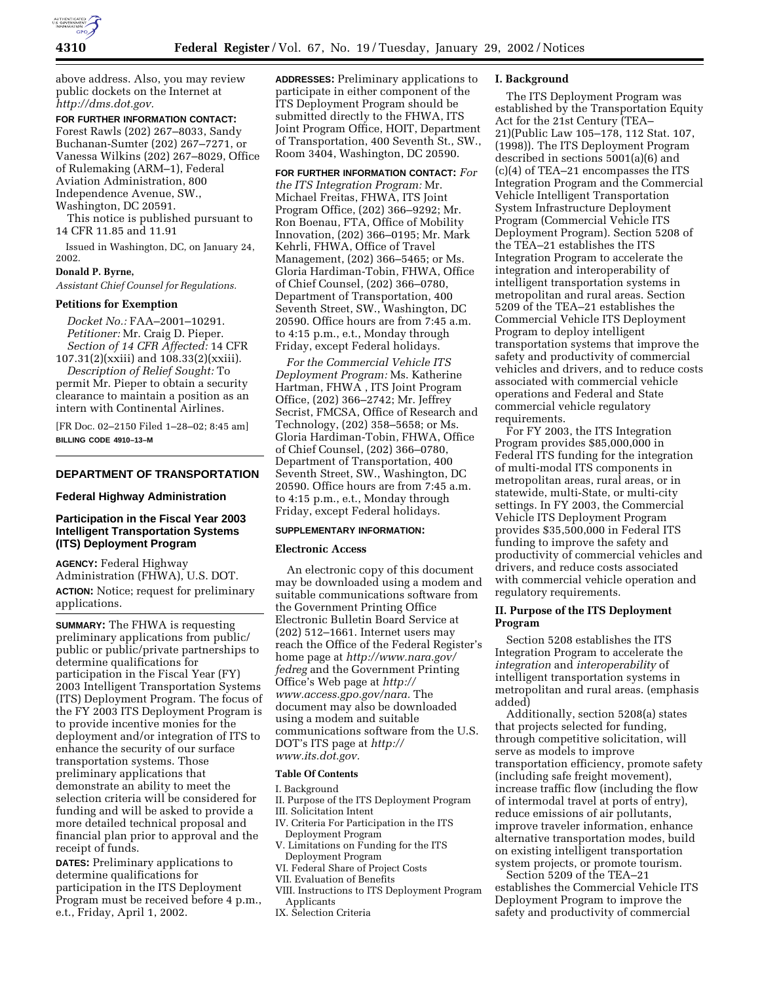

above address. Also, you may review public dockets on the Internet at *http://dms.dot.gov.*

# **FOR FURTHER INFORMATION CONTACT:**

Forest Rawls (202) 267–8033, Sandy Buchanan-Sumter (202) 267–7271, or Vanessa Wilkins (202) 267–8029, Office of Rulemaking (ARM–1), Federal Aviation Administration, 800 Independence Avenue, SW., Washington, DC 20591.

This notice is published pursuant to 14 CFR 11.85 and 11.91

Issued in Washington, DC, on January 24, 2002.

### **Donald P. Byrne,**

*Assistant Chief Counsel for Regulations.*

## **Petitions for Exemption**

*Docket No.:* FAA–2001–10291. *Petitioner:* Mr. Craig D. Pieper. *Section of 14 CFR Affected:* 14 CFR 107.31(2)(xxiii) and 108.33(2)(xxiii).

*Description of Relief Sought:* To permit Mr. Pieper to obtain a security clearance to maintain a position as an intern with Continental Airlines.

[FR Doc. 02–2150 Filed 1–28–02; 8:45 am] **BILLING CODE 4910–13–M**

## **DEPARTMENT OF TRANSPORTATION**

### **Federal Highway Administration**

## **Participation in the Fiscal Year 2003 Intelligent Transportation Systems (ITS) Deployment Program**

**AGENCY:** Federal Highway Administration (FHWA), U.S. DOT. **ACTION:** Notice; request for preliminary applications.

**SUMMARY:** The FHWA is requesting preliminary applications from public/ public or public/private partnerships to determine qualifications for participation in the Fiscal Year (FY) 2003 Intelligent Transportation Systems (ITS) Deployment Program. The focus of the FY 2003 ITS Deployment Program is to provide incentive monies for the deployment and/or integration of ITS to enhance the security of our surface transportation systems. Those preliminary applications that demonstrate an ability to meet the selection criteria will be considered for funding and will be asked to provide a more detailed technical proposal and financial plan prior to approval and the receipt of funds.

**DATES:** Preliminary applications to determine qualifications for participation in the ITS Deployment Program must be received before 4 p.m., e.t., Friday, April 1, 2002.

**ADDRESSES:** Preliminary applications to participate in either component of the ITS Deployment Program should be submitted directly to the FHWA, ITS Joint Program Office, HOIT, Department of Transportation, 400 Seventh St., SW., Room 3404, Washington, DC 20590.

**FOR FURTHER INFORMATION CONTACT:** *For the ITS Integration Program:* Mr. Michael Freitas, FHWA, ITS Joint Program Office, (202) 366–9292; Mr. Ron Boenau, FTA, Office of Mobility Innovation, (202) 366–0195; Mr. Mark Kehrli, FHWA, Office of Travel Management, (202) 366–5465; or Ms. Gloria Hardiman-Tobin, FHWA, Office of Chief Counsel, (202) 366–0780, Department of Transportation, 400 Seventh Street, SW., Washington, DC 20590. Office hours are from 7:45 a.m. to 4:15 p.m., e.t., Monday through Friday, except Federal holidays.

*For the Commercial Vehicle ITS Deployment Program:* Ms. Katherine Hartman, FHWA , ITS Joint Program Office, (202) 366–2742; Mr. Jeffrey Secrist, FMCSA, Office of Research and Technology, (202) 358–5658; or Ms. Gloria Hardiman-Tobin, FHWA, Office of Chief Counsel, (202) 366–0780, Department of Transportation, 400 Seventh Street, SW., Washington, DC 20590. Office hours are from 7:45 a.m. to 4:15 p.m., e.t., Monday through Friday, except Federal holidays.

# **SUPPLEMENTARY INFORMATION:**

#### **Electronic Access**

An electronic copy of this document may be downloaded using a modem and suitable communications software from the Government Printing Office Electronic Bulletin Board Service at (202) 512–1661. Internet users may reach the Office of the Federal Register's home page at *http://www.nara.gov/ fedreg* and the Government Printing Office's Web page at *http:// www.access.gpo.gov/nara.* The document may also be downloaded using a modem and suitable communications software from the U.S. DOT's ITS page at *http:// www.its.dot.gov.*

### **Table Of Contents**

I. Background

- II. Purpose of the ITS Deployment Program III. Solicitation Intent
- IV. Criteria For Participation in the ITS Deployment Program
- V. Limitations on Funding for the ITS Deployment Program
- VI. Federal Share of Project Costs
- VII. Evaluation of Benefits
- VIII. Instructions to ITS Deployment Program Applicants
- IX. Selection Criteria

### **I. Background**

The ITS Deployment Program was established by the Transportation Equity Act for the 21st Century (TEA– 21)(Public Law 105–178, 112 Stat. 107, (1998)). The ITS Deployment Program described in sections 5001(a)(6) and (c)(4) of TEA–21 encompasses the ITS Integration Program and the Commercial Vehicle Intelligent Transportation System Infrastructure Deployment Program (Commercial Vehicle ITS Deployment Program). Section 5208 of the TEA–21 establishes the ITS Integration Program to accelerate the integration and interoperability of intelligent transportation systems in metropolitan and rural areas. Section 5209 of the TEA–21 establishes the Commercial Vehicle ITS Deployment Program to deploy intelligent transportation systems that improve the safety and productivity of commercial vehicles and drivers, and to reduce costs associated with commercial vehicle operations and Federal and State commercial vehicle regulatory requirements.

For FY 2003, the ITS Integration Program provides \$85,000,000 in Federal ITS funding for the integration of multi-modal ITS components in metropolitan areas, rural areas, or in statewide, multi-State, or multi-city settings. In FY 2003, the Commercial Vehicle ITS Deployment Program provides \$35,500,000 in Federal ITS funding to improve the safety and productivity of commercial vehicles and drivers, and reduce costs associated with commercial vehicle operation and regulatory requirements.

## **II. Purpose of the ITS Deployment Program**

Section 5208 establishes the ITS Integration Program to accelerate the *integration* and *interoperability* of intelligent transportation systems in metropolitan and rural areas. (emphasis added)

Additionally, section 5208(a) states that projects selected for funding, through competitive solicitation, will serve as models to improve transportation efficiency, promote safety (including safe freight movement), increase traffic flow (including the flow of intermodal travel at ports of entry), reduce emissions of air pollutants, improve traveler information, enhance alternative transportation modes, build on existing intelligent transportation system projects, or promote tourism.

Section 5209 of the TEA–21 establishes the Commercial Vehicle ITS Deployment Program to improve the safety and productivity of commercial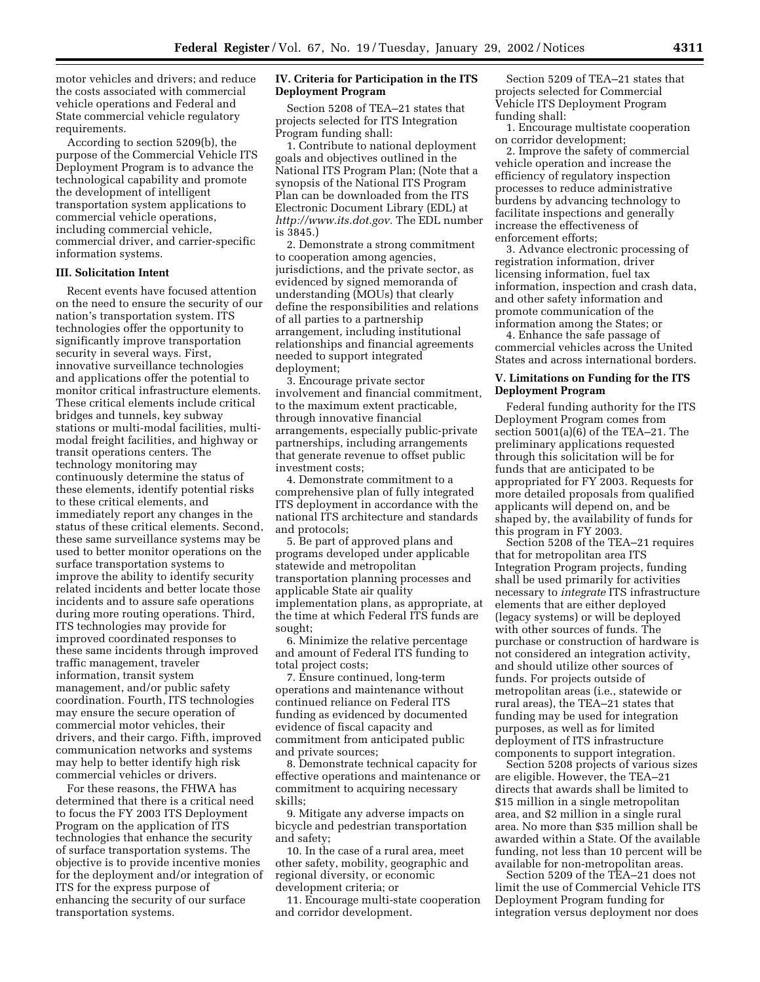motor vehicles and drivers; and reduce the costs associated with commercial vehicle operations and Federal and State commercial vehicle regulatory requirements.

According to section 5209(b), the purpose of the Commercial Vehicle ITS Deployment Program is to advance the technological capability and promote the development of intelligent transportation system applications to commercial vehicle operations, including commercial vehicle, commercial driver, and carrier-specific information systems.

## **III. Solicitation Intent**

Recent events have focused attention on the need to ensure the security of our nation's transportation system. ITS technologies offer the opportunity to significantly improve transportation security in several ways. First, innovative surveillance technologies and applications offer the potential to monitor critical infrastructure elements. These critical elements include critical bridges and tunnels, key subway stations or multi-modal facilities, multimodal freight facilities, and highway or transit operations centers. The technology monitoring may continuously determine the status of these elements, identify potential risks to these critical elements, and immediately report any changes in the status of these critical elements. Second, these same surveillance systems may be used to better monitor operations on the surface transportation systems to improve the ability to identify security related incidents and better locate those incidents and to assure safe operations during more routing operations. Third, ITS technologies may provide for improved coordinated responses to these same incidents through improved traffic management, traveler information, transit system management, and/or public safety coordination. Fourth, ITS technologies may ensure the secure operation of commercial motor vehicles, their drivers, and their cargo. Fifth, improved communication networks and systems may help to better identify high risk commercial vehicles or drivers.

For these reasons, the FHWA has determined that there is a critical need to focus the FY 2003 ITS Deployment Program on the application of ITS technologies that enhance the security of surface transportation systems. The objective is to provide incentive monies for the deployment and/or integration of ITS for the express purpose of enhancing the security of our surface transportation systems.

# **IV. Criteria for Participation in the ITS Deployment Program**

Section 5208 of TEA–21 states that projects selected for ITS Integration Program funding shall:

1. Contribute to national deployment goals and objectives outlined in the National ITS Program Plan; (Note that a synopsis of the National ITS Program Plan can be downloaded from the ITS Electronic Document Library (EDL) at *http://www.its.dot.gov.* The EDL number is 3845.)

2. Demonstrate a strong commitment to cooperation among agencies, jurisdictions, and the private sector, as evidenced by signed memoranda of understanding (MOUs) that clearly define the responsibilities and relations of all parties to a partnership arrangement, including institutional relationships and financial agreements needed to support integrated deployment;

3. Encourage private sector involvement and financial commitment, to the maximum extent practicable, through innovative financial arrangements, especially public-private partnerships, including arrangements that generate revenue to offset public investment costs;

4. Demonstrate commitment to a comprehensive plan of fully integrated ITS deployment in accordance with the national ITS architecture and standards and protocols;

5. Be part of approved plans and programs developed under applicable statewide and metropolitan transportation planning processes and applicable State air quality implementation plans, as appropriate, at the time at which Federal ITS funds are sought;

6. Minimize the relative percentage and amount of Federal ITS funding to total project costs;

7. Ensure continued, long-term operations and maintenance without continued reliance on Federal ITS funding as evidenced by documented evidence of fiscal capacity and commitment from anticipated public and private sources;

8. Demonstrate technical capacity for effective operations and maintenance or commitment to acquiring necessary skills;

9. Mitigate any adverse impacts on bicycle and pedestrian transportation and safety;

10. In the case of a rural area, meet other safety, mobility, geographic and regional diversity, or economic development criteria; or

11. Encourage multi-state cooperation and corridor development.

Section 5209 of TEA–21 states that projects selected for Commercial Vehicle ITS Deployment Program funding shall:

1. Encourage multistate cooperation on corridor development;

2. Improve the safety of commercial vehicle operation and increase the efficiency of regulatory inspection processes to reduce administrative burdens by advancing technology to facilitate inspections and generally increase the effectiveness of enforcement efforts;

3. Advance electronic processing of registration information, driver licensing information, fuel tax information, inspection and crash data, and other safety information and promote communication of the information among the States; or

4. Enhance the safe passage of commercial vehicles across the United States and across international borders.

### **V. Limitations on Funding for the ITS Deployment Program**

Federal funding authority for the ITS Deployment Program comes from section 5001(a)(6) of the TEA–21. The preliminary applications requested through this solicitation will be for funds that are anticipated to be appropriated for FY 2003. Requests for more detailed proposals from qualified applicants will depend on, and be shaped by, the availability of funds for this program in FY 2003.

Section 5208 of the TEA–21 requires that for metropolitan area ITS Integration Program projects, funding shall be used primarily for activities necessary to *integrate* ITS infrastructure elements that are either deployed (legacy systems) or will be deployed with other sources of funds. The purchase or construction of hardware is not considered an integration activity, and should utilize other sources of funds. For projects outside of metropolitan areas (i.e., statewide or rural areas), the TEA–21 states that funding may be used for integration purposes, as well as for limited deployment of ITS infrastructure components to support integration.

Section 5208 projects of various sizes are eligible. However, the TEA–21 directs that awards shall be limited to \$15 million in a single metropolitan area, and \$2 million in a single rural area. No more than \$35 million shall be awarded within a State. Of the available funding, not less than 10 percent will be available for non-metropolitan areas.

Section 5209 of the TEA–21 does not limit the use of Commercial Vehicle ITS Deployment Program funding for integration versus deployment nor does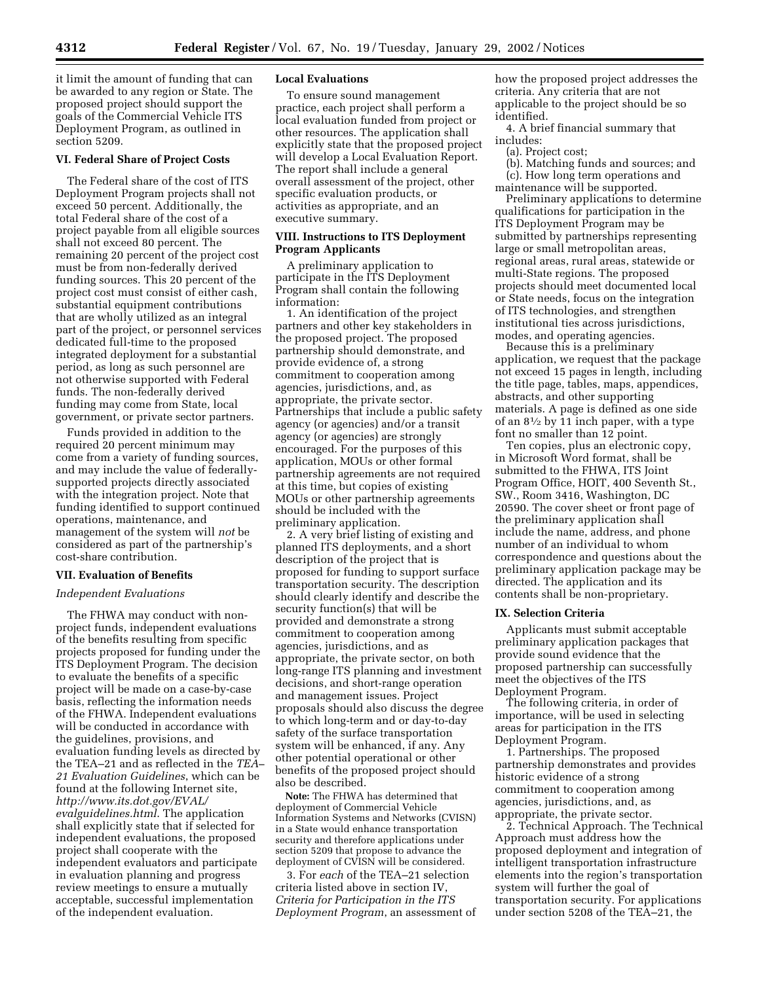it limit the amount of funding that can be awarded to any region or State. The proposed project should support the goals of the Commercial Vehicle ITS Deployment Program, as outlined in section 5209.

### **VI. Federal Share of Project Costs**

The Federal share of the cost of ITS Deployment Program projects shall not exceed 50 percent. Additionally, the total Federal share of the cost of a project payable from all eligible sources shall not exceed 80 percent. The remaining 20 percent of the project cost must be from non-federally derived funding sources. This 20 percent of the project cost must consist of either cash, substantial equipment contributions that are wholly utilized as an integral part of the project, or personnel services dedicated full-time to the proposed integrated deployment for a substantial period, as long as such personnel are not otherwise supported with Federal funds. The non-federally derived funding may come from State, local government, or private sector partners.

Funds provided in addition to the required 20 percent minimum may come from a variety of funding sources, and may include the value of federallysupported projects directly associated with the integration project. Note that funding identified to support continued operations, maintenance, and management of the system will *not* be considered as part of the partnership's cost-share contribution.

#### **VII. Evaluation of Benefits**

#### *Independent Evaluations*

The FHWA may conduct with nonproject funds, independent evaluations of the benefits resulting from specific projects proposed for funding under the ITS Deployment Program. The decision to evaluate the benefits of a specific project will be made on a case-by-case basis, reflecting the information needs of the FHWA. Independent evaluations will be conducted in accordance with the guidelines, provisions, and evaluation funding levels as directed by the TEA–21 and as reflected in the *TEA– 21 Evaluation Guidelines*, which can be found at the following Internet site, *http://www.its.dot.gov/EVAL/ evalguidelines.html*. The application shall explicitly state that if selected for independent evaluations, the proposed project shall cooperate with the independent evaluators and participate in evaluation planning and progress review meetings to ensure a mutually acceptable, successful implementation of the independent evaluation.

#### **Local Evaluations**

To ensure sound management practice, each project shall perform a local evaluation funded from project or other resources. The application shall explicitly state that the proposed project will develop a Local Evaluation Report. The report shall include a general overall assessment of the project, other specific evaluation products, or activities as appropriate, and an executive summary.

# **VIII. Instructions to ITS Deployment Program Applicants**

A preliminary application to participate in the ITS Deployment Program shall contain the following information:

1. An identification of the project partners and other key stakeholders in the proposed project. The proposed partnership should demonstrate, and provide evidence of, a strong commitment to cooperation among agencies, jurisdictions, and, as appropriate, the private sector. Partnerships that include a public safety agency (or agencies) and/or a transit agency (or agencies) are strongly encouraged. For the purposes of this application, MOUs or other formal partnership agreements are not required at this time, but copies of existing MOUs or other partnership agreements should be included with the preliminary application.

2. A very brief listing of existing and planned ITS deployments, and a short description of the project that is proposed for funding to support surface transportation security. The description should clearly identify and describe the security function(s) that will be provided and demonstrate a strong commitment to cooperation among agencies, jurisdictions, and as appropriate, the private sector, on both long-range ITS planning and investment decisions, and short-range operation and management issues. Project proposals should also discuss the degree to which long-term and or day-to-day safety of the surface transportation system will be enhanced, if any. Any other potential operational or other benefits of the proposed project should also be described.

**Note:** The FHWA has determined that deployment of Commercial Vehicle Information Systems and Networks (CVISN) in a State would enhance transportation security and therefore applications under section 5209 that propose to advance the deployment of CVISN will be considered.

3. For *each* of the TEA–21 selection criteria listed above in section IV, *Criteria for Participation in the ITS Deployment Program*, an assessment of how the proposed project addresses the criteria. Any criteria that are not applicable to the project should be so identified.

4. A brief financial summary that includes:

(a). Project cost;

- (b). Matching funds and sources; and
- (c). How long term operations and maintenance will be supported.

Preliminary applications to determine qualifications for participation in the ITS Deployment Program may be submitted by partnerships representing large or small metropolitan areas, regional areas, rural areas, statewide or multi-State regions. The proposed projects should meet documented local or State needs, focus on the integration of ITS technologies, and strengthen institutional ties across jurisdictions, modes, and operating agencies.

Because this is a preliminary application, we request that the package not exceed 15 pages in length, including the title page, tables, maps, appendices, abstracts, and other supporting materials. A page is defined as one side of an  $8\frac{1}{2}$  by 11 inch paper, with a type font no smaller than 12 point.

Ten copies, plus an electronic copy, in Microsoft Word format, shall be submitted to the FHWA, ITS Joint Program Office, HOIT, 400 Seventh St., SW., Room 3416, Washington, DC 20590. The cover sheet or front page of the preliminary application shall include the name, address, and phone number of an individual to whom correspondence and questions about the preliminary application package may be directed. The application and its contents shall be non-proprietary.

#### **IX. Selection Criteria**

Applicants must submit acceptable preliminary application packages that provide sound evidence that the proposed partnership can successfully meet the objectives of the ITS Deployment Program.

The following criteria, in order of importance, will be used in selecting areas for participation in the ITS Deployment Program.

1. Partnerships. The proposed partnership demonstrates and provides historic evidence of a strong commitment to cooperation among agencies, jurisdictions, and, as appropriate, the private sector.

2. Technical Approach. The Technical Approach must address how the proposed deployment and integration of intelligent transportation infrastructure elements into the region's transportation system will further the goal of transportation security. For applications under section 5208 of the TEA–21, the